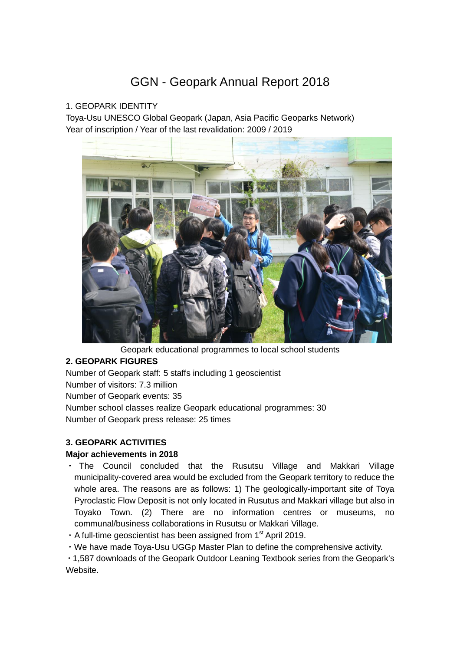# GGN - Geopark Annual Report 2018

## 1. GEOPARK IDENTITY

Toya-Usu UNESCO Global Geopark (Japan, Asia Pacific Geoparks Network) Year of inscription / Year of the last revalidation: 2009 / 2019



Geopark educational programmes to local school students

# **2. GEOPARK FIGURES**

Number of Geopark staff: 5 staffs including 1 geoscientist Number of visitors: 7.3 million Number of Geopark events: 35 Number school classes realize Geopark educational programmes: 30 Number of Geopark press release: 25 times

# **3. GEOPARK ACTIVITIES**

## **Major achievements in 2018**

- ・ The Council concluded that the Rusutsu Village and Makkari Village municipality-covered area would be excluded from the Geopark territory to reduce the whole area. The reasons are as follows: 1) The geologically-important site of Toya Pyroclastic Flow Deposit is not only located in Rusutus and Makkari village but also in Toyako Town. (2) There are no information centres or museums, no communal/business collaborations in Rusutsu or Makkari Village.
- $\cdot$  A full-time geoscientist has been assigned from 1<sup>st</sup> April 2019.
- ・We have made Toya-Usu UGGp Master Plan to define the comprehensive activity.

・1,587 downloads of the Geopark Outdoor Leaning Textbook series from the Geopark's Website.